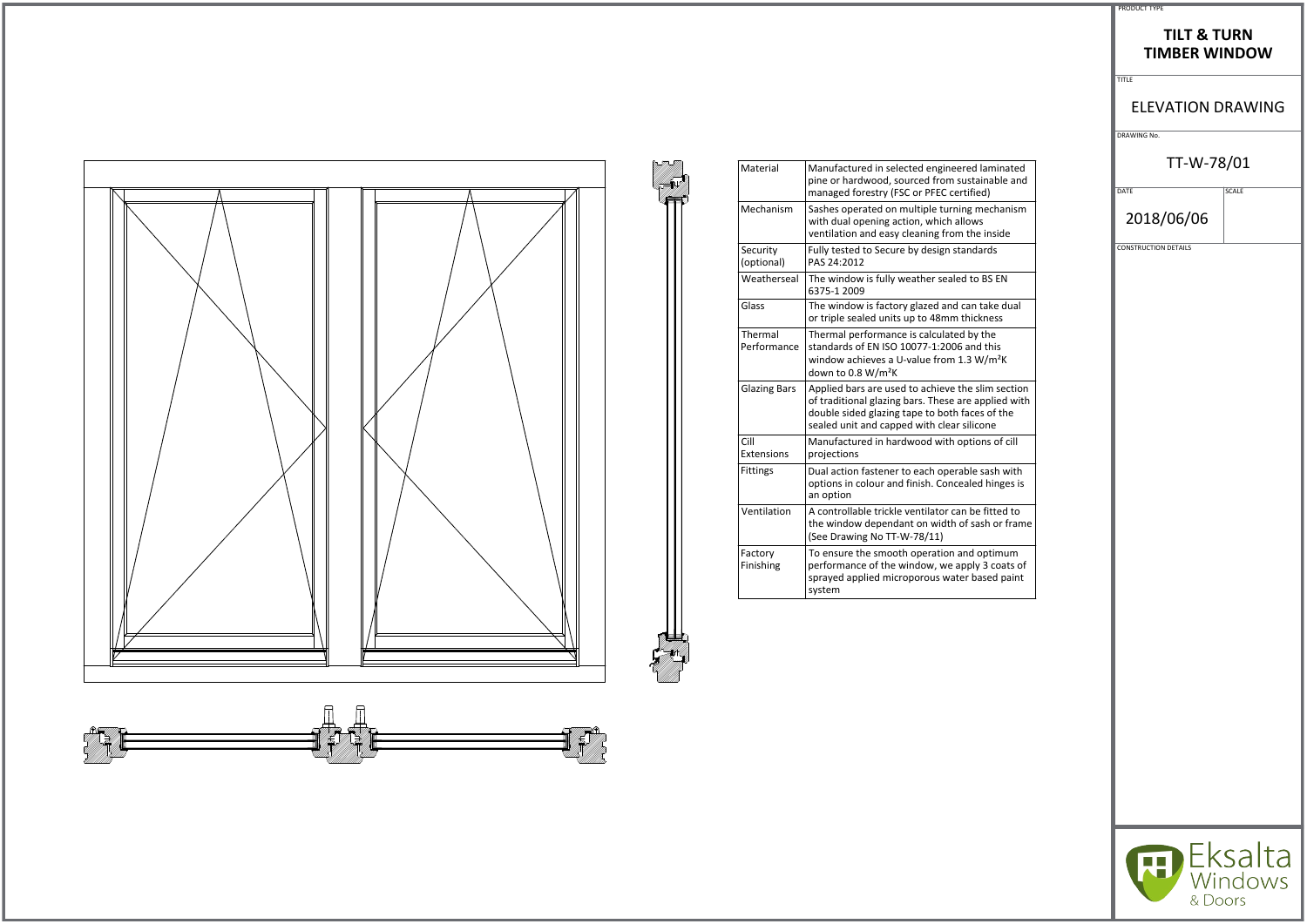|                        |                                                                                                                                                                                                          | <b>TITLE</b>        |
|------------------------|----------------------------------------------------------------------------------------------------------------------------------------------------------------------------------------------------------|---------------------|
|                        |                                                                                                                                                                                                          | <b>ELEV</b>         |
|                        |                                                                                                                                                                                                          | DRAWING No.         |
| Material               | Manufactured in selected engineered laminated<br>pine or hardwood, sourced from sustainable and<br>managed forestry (FSC or PFEC certified)                                                              | DATE                |
| Mechanism              | Sashes operated on multiple turning mechanism<br>with dual opening action, which allows<br>ventilation and easy cleaning from the inside                                                                 | 2018/               |
| Security<br>(optional) | Fully tested to Secure by design standards<br>PAS 24:2012                                                                                                                                                | <b>CONSTRUCTION</b> |
| Weatherseal            | The window is fully weather sealed to BS EN<br>6375-1 2009                                                                                                                                               |                     |
| Glass                  | The window is factory glazed and can take dual<br>or triple sealed units up to 48mm thickness                                                                                                            |                     |
| Thermal<br>Performance | Thermal performance is calculated by the<br>standards of EN ISO 10077-1:2006 and this<br>window achieves a U-value from 1.3 W/m <sup>2</sup> K<br>down to 0.8 W/m <sup>2</sup> K                         |                     |
| <b>Glazing Bars</b>    | Applied bars are used to achieve the slim section<br>of traditional glazing bars. These are applied with<br>double sided glazing tape to both faces of the<br>sealed unit and capped with clear silicone |                     |
| Cill<br>Extensions     | Manufactured in hardwood with options of cill<br>projections                                                                                                                                             |                     |
| Fittings               | Dual action fastener to each operable sash with<br>options in colour and finish. Concealed hinges is<br>an option                                                                                        |                     |
| Ventilation            | A controllable trickle ventilator can be fitted to<br>the window dependant on width of sash or frame<br>(See Drawing No TT-W-78/11)                                                                      |                     |
| Factory<br>Finishing   | To ensure the smooth operation and optimum<br>performance of the window, we apply 3 coats of<br>sprayed applied microporous water based paint<br>system                                                  |                     |
|                        |                                                                                                                                                                                                          |                     |





#### PRODUCT TYPE

#### **TILT & TURN TIMBER WINDOW**

TITLE

#### ELEVATION DRAWING

## TT-W-78/01

 $\overline{\big|$  SCALE

2018/06/06

CONSTRUCTION DETAILS



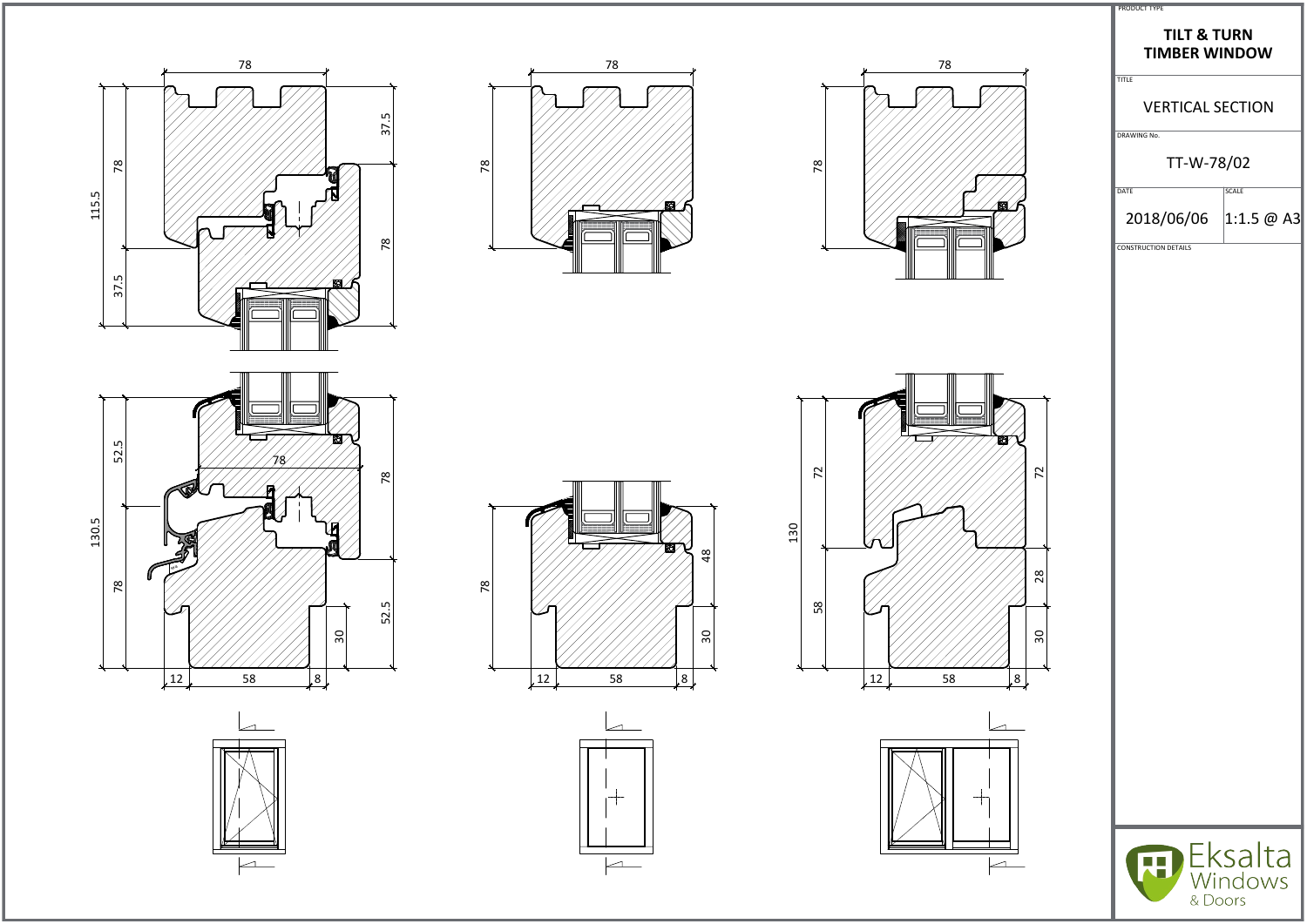

















| <b>PRODUCT TYPE</b> |  |
|---------------------|--|

## **TILT & TURN TIMBER WINDOW**

TITLE

# VERTICAL SECTION

DRAWING No.

# TT-W-78/02

 $\sqrt{\text{DATE}}$ 

2018/06/06 1:1.5  $\omega$  A3

CONSTRUCTION DETAILS

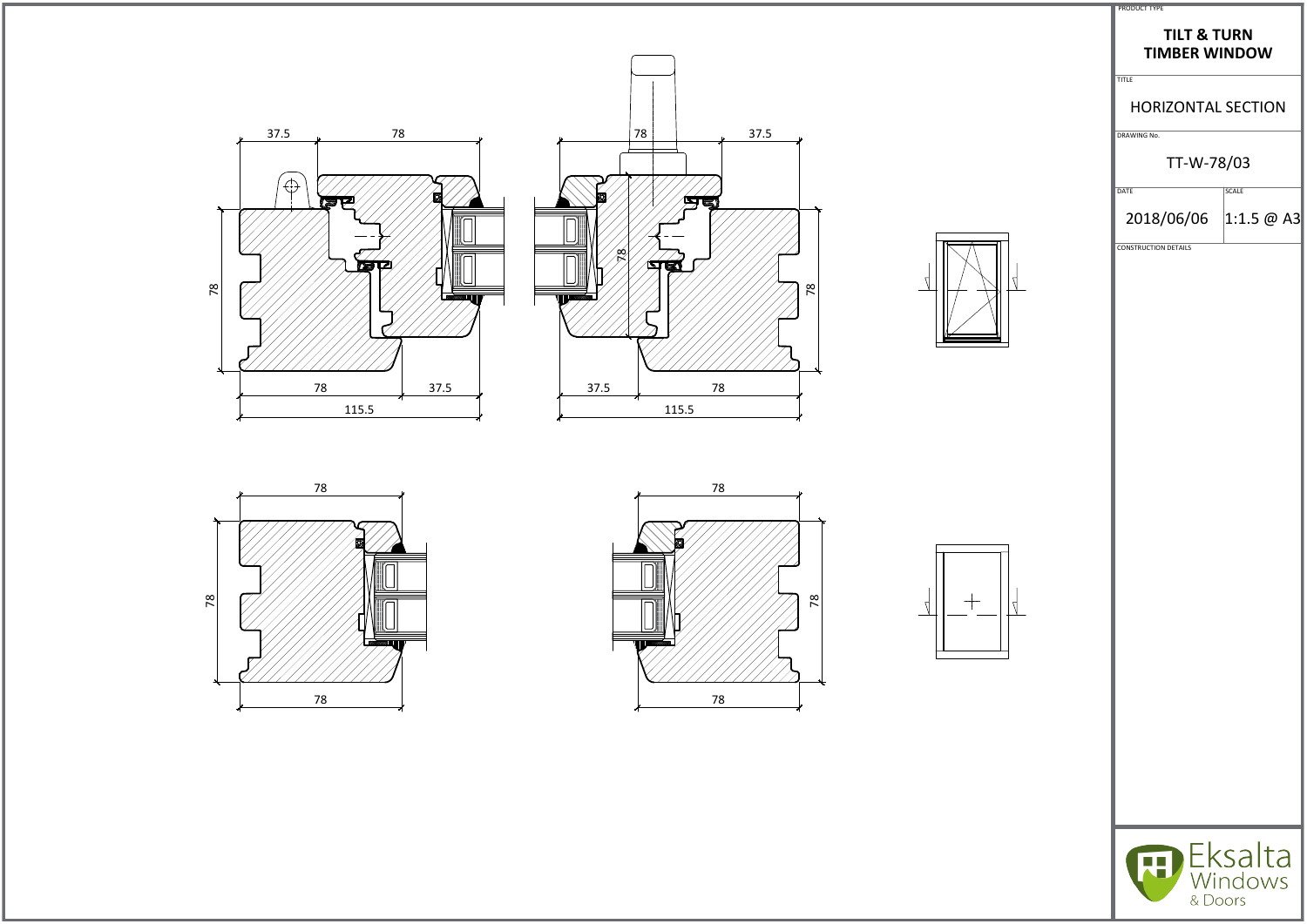













| <b>PRODUCT TYPE</b> |  |
|---------------------|--|

## **TILT & TURN TIMBER WINDOW**

TITLE

## HORIZONTAL SECTION

DRAWING No.

# TT-W-78/03

 $\sqrt{\text{DATE}}$ 

2018/06/06 1:1.5  $\omega$  A3

CONSTRUCTION DETAILS



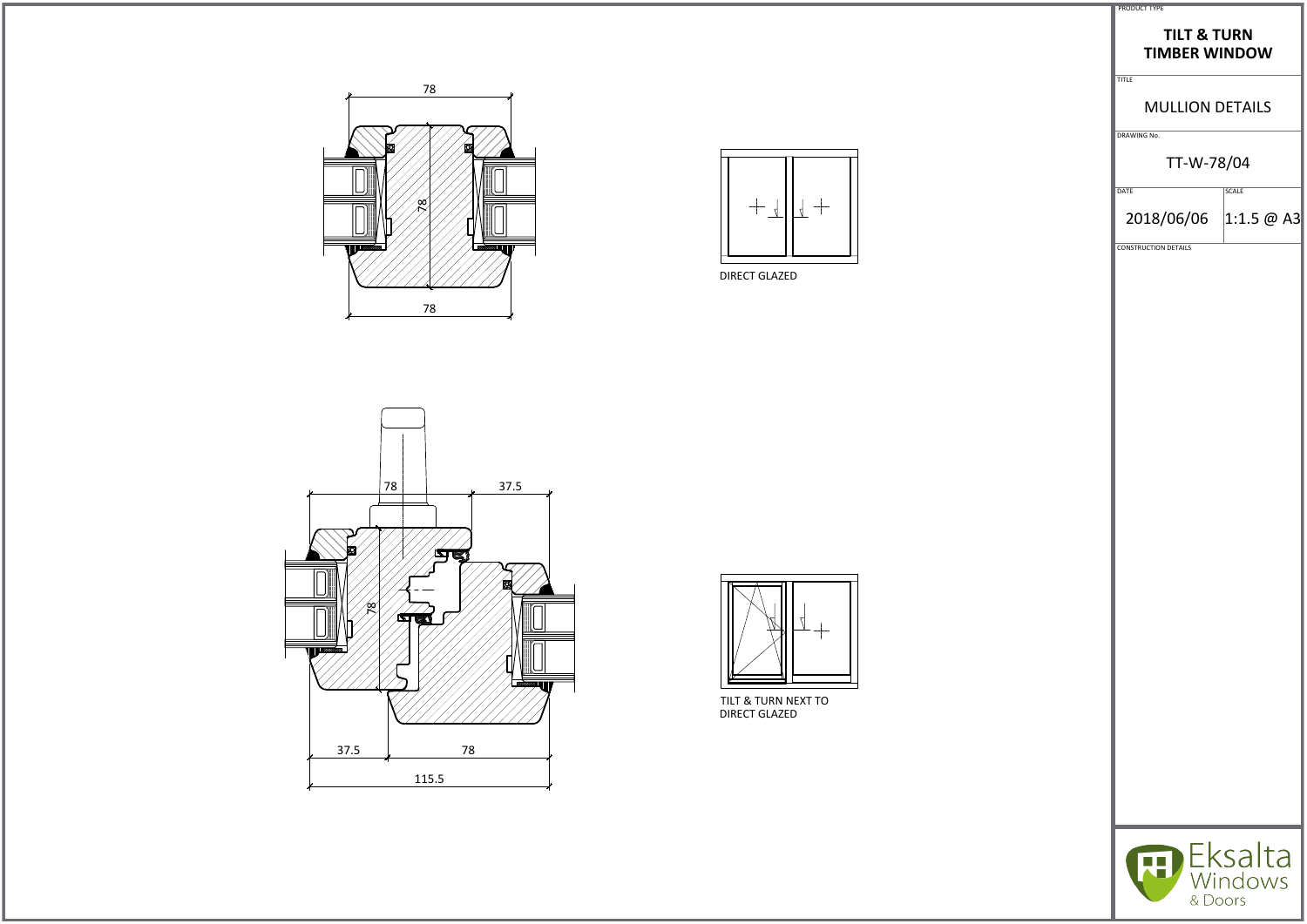

DIRECT GLAZED



| <b>TILT &amp; TURN</b><br><b>TIMBER WINDOW</b><br><b>MULLION DETAILS</b><br>TT-W-78/04<br><b>SCALE</b> | 2018/06/06 1:1.5 @ A3 |
|--------------------------------------------------------------------------------------------------------|-----------------------|
| <b>TITLE</b><br>DRAWING No.<br>DATE<br><b>CONSTRUCTION DETAILS</b>                                     |                       |
|                                                                                                        |                       |
|                                                                                                        |                       |
|                                                                                                        |                       |
|                                                                                                        |                       |
|                                                                                                        |                       |





TILT & TURN NEXT TO DIRECT GLAZED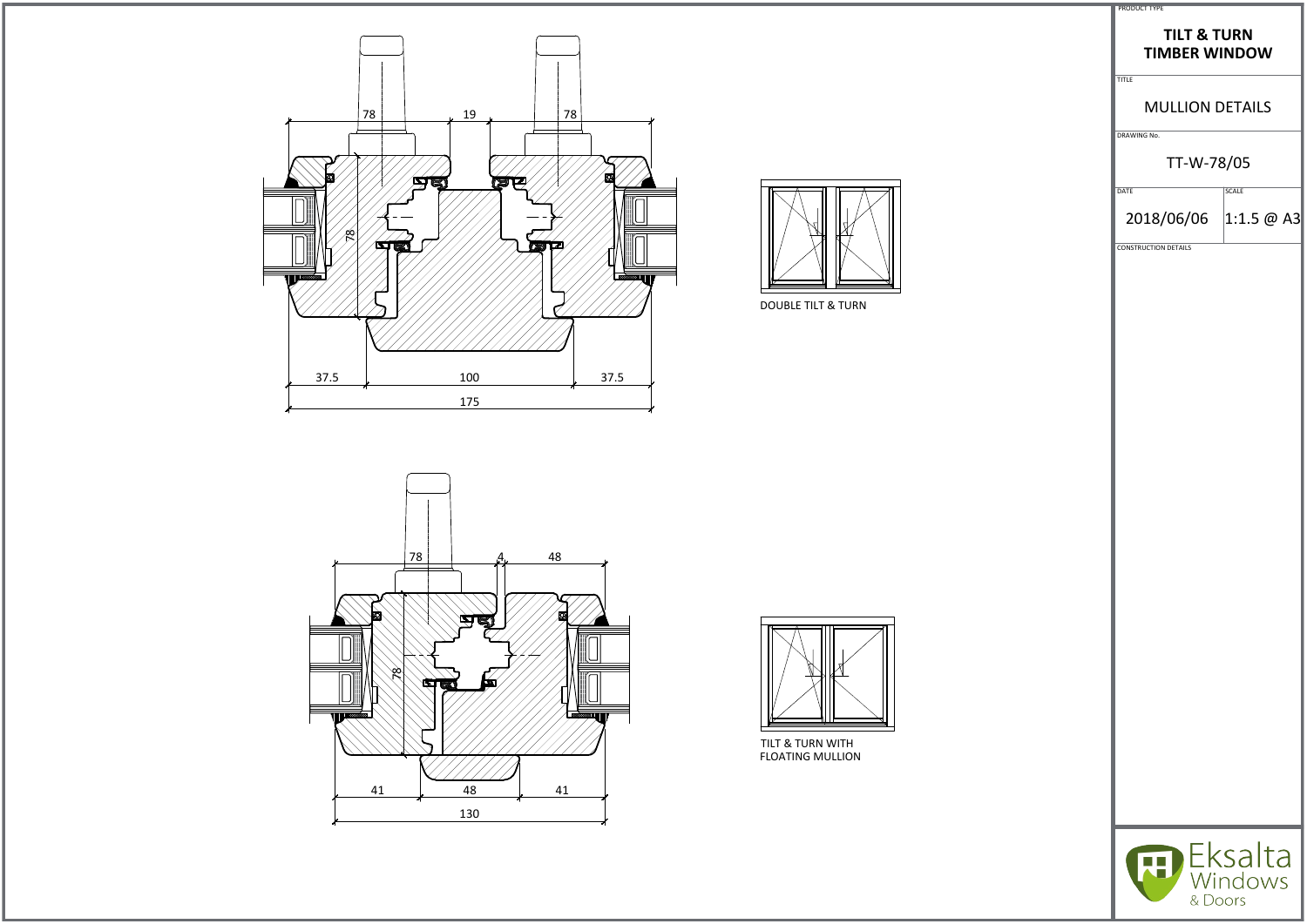







| <b>TILT &amp; TURN</b><br><b>TIMBER WINDOW</b><br><b>MULLION DETAILS</b><br>TT-W-78/05<br><b>SCALE</b><br>2018/06/06 1:1.5 @ A3 |  |  |
|---------------------------------------------------------------------------------------------------------------------------------|--|--|
| <b>TITLE</b><br>DRAWING No.<br>DATE<br><b>CONSTRUCTION DETAILS</b>                                                              |  |  |
|                                                                                                                                 |  |  |
|                                                                                                                                 |  |  |
|                                                                                                                                 |  |  |
|                                                                                                                                 |  |  |
|                                                                                                                                 |  |  |
|                                                                                                                                 |  |  |
|                                                                                                                                 |  |  |

DOUBLE TILT & TURN

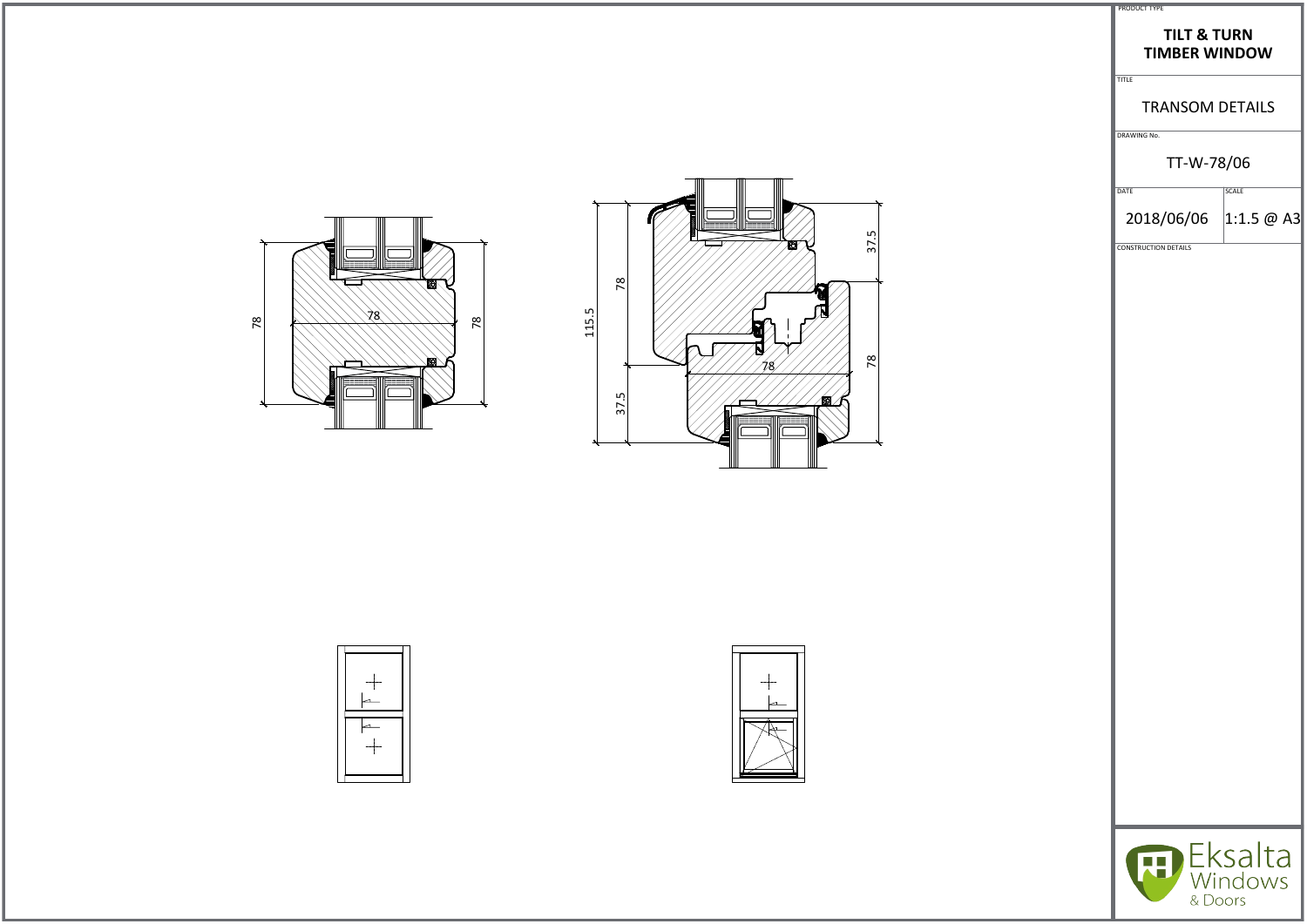



| PRODUCT TYPE                                   |                    |  |
|------------------------------------------------|--------------------|--|
| <b>TILT &amp; TURN</b><br><b>TIMBER WINDOW</b> |                    |  |
| <b>TITLE</b><br><b>TRANSOM DETAILS</b>         |                    |  |
| DRAWING No.                                    |                    |  |
| TT-W-78/06                                     |                    |  |
| DATE<br>2018/06/06 1:1.5 @ A3                  | <b>SCALE</b>       |  |
| <b>CONSTRUCTION DETAILS</b>                    |                    |  |
|                                                |                    |  |
|                                                |                    |  |
|                                                |                    |  |
|                                                |                    |  |
|                                                |                    |  |
|                                                |                    |  |
|                                                |                    |  |
|                                                |                    |  |
|                                                |                    |  |
|                                                |                    |  |
|                                                |                    |  |
|                                                |                    |  |
|                                                | Eksalta<br>Windows |  |
| & Doors                                        |                    |  |



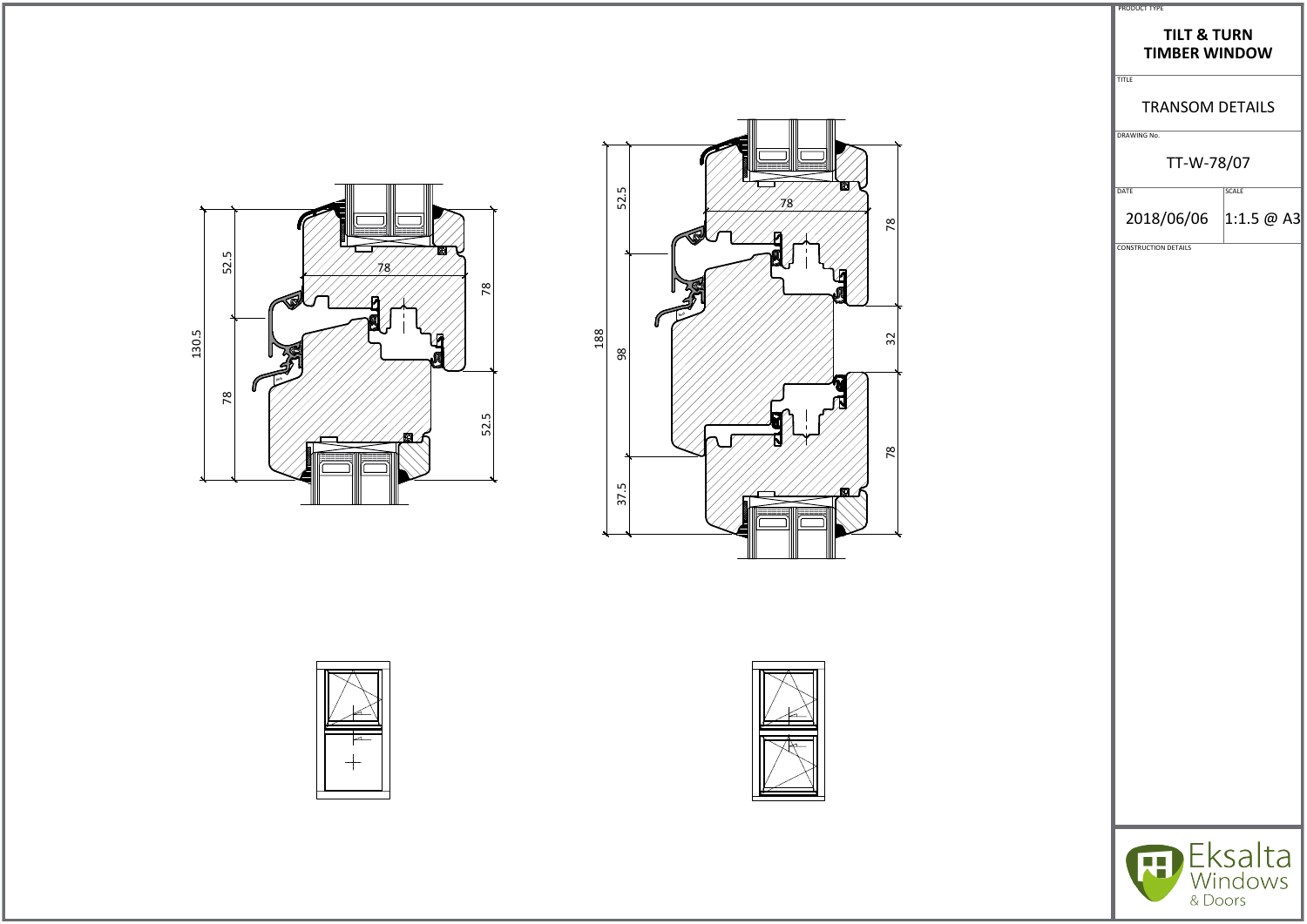





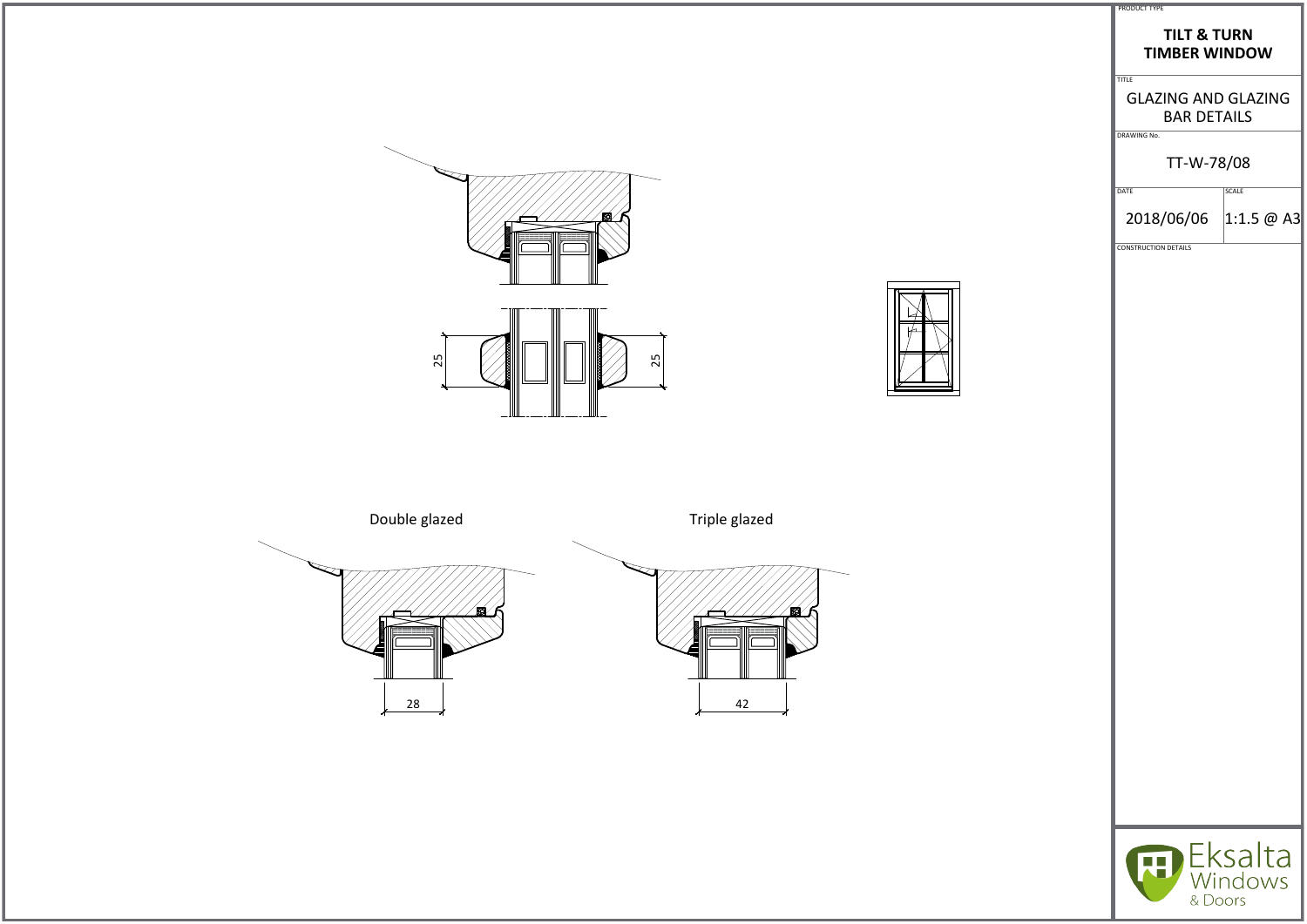





| <b>PRODUCT TYPE</b><br><b>TILT &amp; TURN</b><br><b>TIMBER WINDOW</b>           |                    |
|---------------------------------------------------------------------------------|--------------------|
| <b>TITLE</b><br><b>GLAZING AND GLAZING</b><br><b>BAR DETAILS</b><br>DRAWING No. |                    |
| TT-W-78/08                                                                      |                    |
| DATE                                                                            | <b>SCALE</b>       |
| 2018/06/06 1:1.5 @ A3                                                           |                    |
| <b>CONSTRUCTION DETAILS</b>                                                     |                    |
|                                                                                 |                    |
|                                                                                 |                    |
|                                                                                 |                    |
|                                                                                 |                    |
|                                                                                 |                    |
|                                                                                 |                    |
|                                                                                 |                    |
|                                                                                 |                    |
|                                                                                 |                    |
|                                                                                 |                    |
|                                                                                 |                    |
|                                                                                 |                    |
|                                                                                 |                    |
|                                                                                 |                    |
|                                                                                 |                    |
|                                                                                 |                    |
|                                                                                 |                    |
|                                                                                 |                    |
|                                                                                 | Eksalta<br>Windows |
| & Doors                                                                         |                    |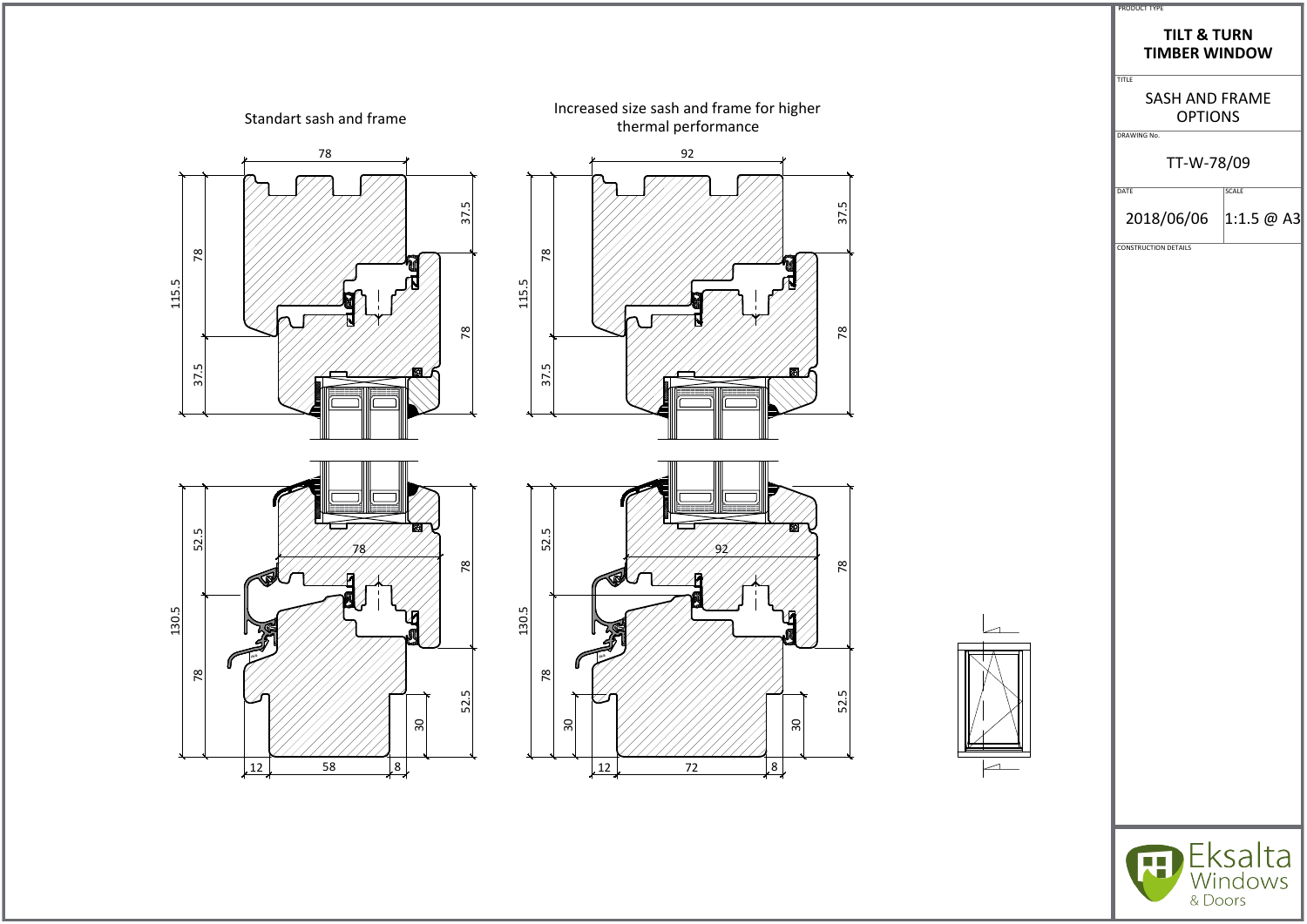

| <b>TILT &amp; TURN</b><br><b>TIMBER WINDOW</b><br><b>SASH AND FRAME</b><br><b>OPTIONS</b><br>TT-W-78/09<br><b>SCALE</b><br>2018/06/06 1:1.5 @ A3<br>Eksalta<br>Windows<br>& Doors |
|-----------------------------------------------------------------------------------------------------------------------------------------------------------------------------------|
| <b>TITLE</b><br>DRAWING No.<br>DATE<br><b>CONSTRUCTION DETAILS</b>                                                                                                                |
|                                                                                                                                                                                   |
|                                                                                                                                                                                   |
|                                                                                                                                                                                   |
|                                                                                                                                                                                   |
|                                                                                                                                                                                   |
|                                                                                                                                                                                   |
|                                                                                                                                                                                   |
|                                                                                                                                                                                   |
|                                                                                                                                                                                   |
|                                                                                                                                                                                   |
|                                                                                                                                                                                   |
|                                                                                                                                                                                   |
|                                                                                                                                                                                   |
|                                                                                                                                                                                   |
|                                                                                                                                                                                   |
|                                                                                                                                                                                   |
|                                                                                                                                                                                   |
|                                                                                                                                                                                   |
|                                                                                                                                                                                   |
|                                                                                                                                                                                   |
|                                                                                                                                                                                   |
|                                                                                                                                                                                   |
|                                                                                                                                                                                   |
|                                                                                                                                                                                   |
|                                                                                                                                                                                   |

 $\overline{\phantom{0}}$ 

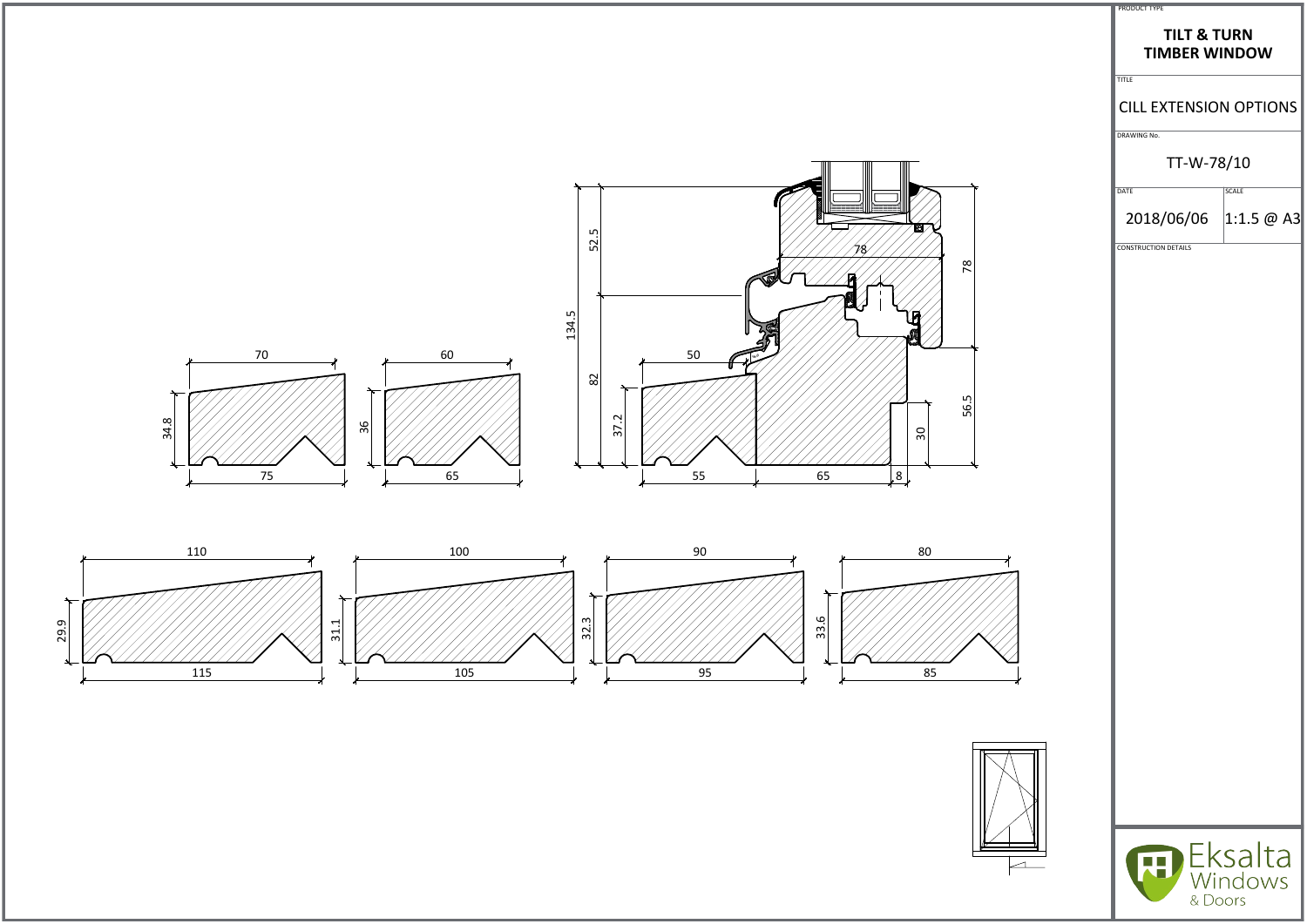

| <b>PRODUCT TYPE</b>                            |                                           |
|------------------------------------------------|-------------------------------------------|
| <b>TILT &amp; TURN</b><br><b>TIMBER WINDOW</b> |                                           |
| <b>TITLE</b>                                   |                                           |
| <b>CILL EXTENSION OPTIONS</b>                  |                                           |
| DRAWING No.                                    |                                           |
| TT-W-78/10                                     |                                           |
| DATE                                           | <b>SCALE</b>                              |
| 2018/06/06                                     | $ 1:1.5 \; \text{\textcircled{a}}$ A3 $ $ |
| <b>CONSTRUCTION DETAILS</b>                    |                                           |
|                                                |                                           |
|                                                |                                           |
|                                                |                                           |
|                                                |                                           |
|                                                |                                           |
|                                                |                                           |
|                                                |                                           |
|                                                |                                           |
|                                                |                                           |
|                                                |                                           |
|                                                |                                           |
|                                                |                                           |
|                                                |                                           |
|                                                |                                           |
|                                                |                                           |
|                                                |                                           |
|                                                |                                           |
|                                                |                                           |
|                                                |                                           |
|                                                |                                           |
|                                                |                                           |
|                                                |                                           |
|                                                | Eksalta                                   |
| & Doors                                        | Windows                                   |
|                                                |                                           |